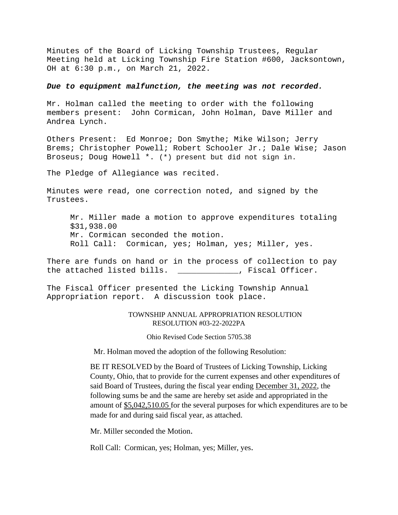Minutes of the Board of Licking Township Trustees, Regular Meeting held at Licking Township Fire Station #600, Jacksontown, OH at 6:30 p.m., on March 21, 2022.

## *Due to equipment malfunction, the meeting was not recorded.*

Mr. Holman called the meeting to order with the following members present: John Cormican, John Holman, Dave Miller and Andrea Lynch.

Others Present: Ed Monroe; Don Smythe; Mike Wilson; Jerry Brems; Christopher Powell; Robert Schooler Jr.; Dale Wise; Jason Broseus; Doug Howell \*. (\*) present but did not sign in.

The Pledge of Allegiance was recited.

Minutes were read, one correction noted, and signed by the Trustees.

Mr. Miller made a motion to approve expenditures totaling \$31,938.00 Mr. Cormican seconded the motion. Roll Call: Cormican, yes; Holman, yes; Miller, yes.

There are funds on hand or in the process of collection to pay the attached listed bills. \_\_\_\_\_\_\_\_\_\_\_\_\_, Fiscal Officer.

The Fiscal Officer presented the Licking Township Annual Appropriation report. A discussion took place.

## TOWNSHIP ANNUAL APPROPRIATION RESOLUTION RESOLUTION #03-22-2022PA

Ohio Revised Code Section 5705.38

Mr. Holman moved the adoption of the following Resolution:

BE IT RESOLVED by the Board of Trustees of Licking Township, Licking County, Ohio, that to provide for the current expenses and other expenditures of said Board of Trustees, during the fiscal year ending December 31, 2022, the following sums be and the same are hereby set aside and appropriated in the amount of \$5,042,510.05 for the several purposes for which expenditures are to be made for and during said fiscal year, as attached.

Mr. Miller seconded the Motion.

Roll Call: Cormican, yes; Holman, yes; Miller, yes.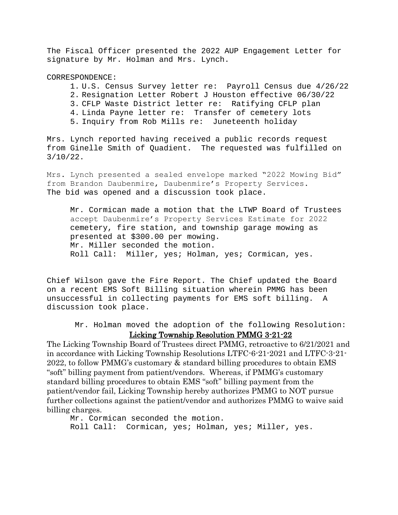The Fiscal Officer presented the 2022 AUP Engagement Letter for signature by Mr. Holman and Mrs. Lynch.

CORRESPONDENCE:

- 1. U.S. Census Survey letter re: Payroll Census due 4/26/22
- 2. Resignation Letter Robert J Houston effective 06/30/22
- 3. CFLP Waste District letter re: Ratifying CFLP plan
- 4. Linda Payne letter re: Transfer of cemetery lots
- 5. Inquiry from Rob Mills re: Juneteenth holiday

Mrs. Lynch reported having received a public records request from Ginelle Smith of Quadient. The requested was fulfilled on 3/10/22.

Mrs. Lynch presented a sealed envelope marked "2022 Mowing Bid" from Brandon Daubenmire, Daubenmire's Property Services. The bid was opened and a discussion took place.

Mr. Cormican made a motion that the LTWP Board of Trustees accept Daubenmire's Property Services Estimate for 2022 cemetery, fire station, and township garage mowing as presented at \$300.00 per mowing. Mr. Miller seconded the motion. Roll Call: Miller, yes; Holman, yes; Cormican, yes.

Chief Wilson gave the Fire Report. The Chief updated the Board on a recent EMS Soft Billing situation wherein PMMG has been unsuccessful in collecting payments for EMS soft billing. A discussion took place.

Mr. Holman moved the adoption of the following Resolution: Licking Township Resolution PMMG 3-21-22

The Licking Township Board of Trustees direct PMMG, retroactive to 6/21/2021 and in accordance with Licking Township Resolutions LTFC-6-21-2021 and LTFC-3-21- 2022, to follow PMMG's customary & standard billing procedures to obtain EMS "soft" billing payment from patient/vendors. Whereas, if PMMG's customary standard billing procedures to obtain EMS "soft" billing payment from the patient/vendor fail, Licking Township hereby authorizes PMMG to NOT pursue further collections against the patient/vendor and authorizes PMMG to waive said billing charges.

Mr. Cormican seconded the motion. Roll Call: Cormican, yes; Holman, yes; Miller, yes.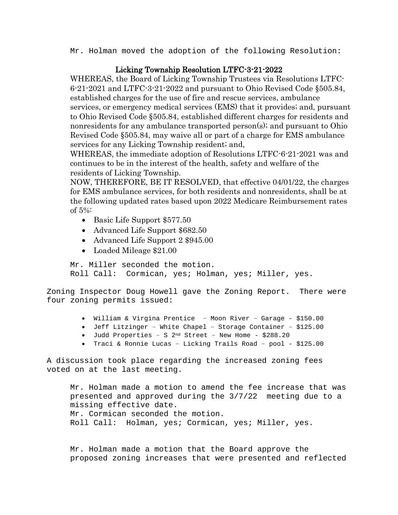Mr. Holman moved the adoption of the following Resolution:

## Licking Township Resolution LTFC-3-21-2022

WHEREAS, the Board of Licking Township Trustees via Resolutions LTFC-6-21-2021 and LTFC-3-21-2022 and pursuant to Ohio Revised Code §505.84, established charges for the use of fire and rescue services, ambulance services, or emergency medical services (EMS) that it provides; and, pursuant to Ohio Revised Code §505.84, established different charges for residents and nonresidents for any ambulance transported person(s); and pursuant to Ohio Revised Code §505.84, may waive all or part of a charge for EMS ambulance services for any Licking Township resident; and,

WHEREAS, the immediate adoption of Resolutions LTFC-6-21-2021 was and continues to be in the interest of the health, safety and welfare of the residents of Licking Township.

NOW, THEREFORE, BE IT RESOLVED, that effective 04/01/22, the charges for EMS ambulance services, for both residents and nonresidents, shall be at the following updated rates based upon 2022 Medicare Reimbursement rates of 5%:

- Basic Life Support \$577.50
- Advanced Life Support \$682.50
- Advanced Life Support 2 \$945.00
- Loaded Mileage \$21.00

Mr. Miller seconded the motion. Roll Call: Cormican, yes; Holman, yes; Miller, yes.

Zoning Inspector Doug Howell gave the Zoning Report. There were four zoning permits issued:

- William & Virgina Prentice Moon River Garage \$150.00
- Jeff Litzinger White Chapel Storage Container \$125.00
- Judd Properties S 2nd Street New Home \$288.20
- Traci & Ronnie Lucas Licking Trails Road pool \$125.00

A discussion took place regarding the increased zoning fees voted on at the last meeting.

Mr. Holman made a motion to amend the fee increase that was presented and approved during the 3/7/22 meeting due to a missing effective date. Mr. Cormican seconded the motion. Roll Call: Holman, yes; Cormican, yes; Miller, yes.

Mr. Holman made a motion that the Board approve the proposed zoning increases that were presented and reflected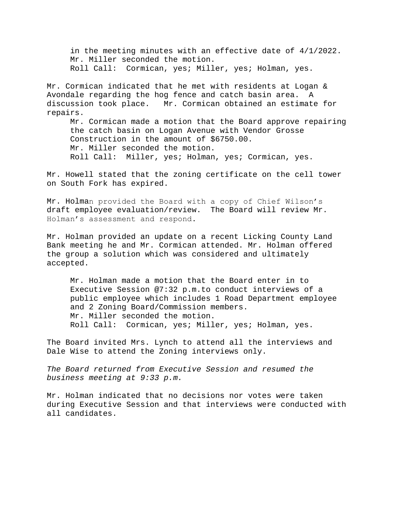in the meeting minutes with an effective date of 4/1/2022. Mr. Miller seconded the motion. Roll Call: Cormican, yes; Miller, yes; Holman, yes.

Mr. Cormican indicated that he met with residents at Logan & Avondale regarding the hog fence and catch basin area. A discussion took place. Mr. Cormican obtained an estimate for repairs.

Mr. Cormican made a motion that the Board approve repairing the catch basin on Logan Avenue with Vendor Grosse Construction in the amount of \$6750.00. Mr. Miller seconded the motion. Roll Call: Miller, yes; Holman, yes; Cormican, yes.

Mr. Howell stated that the zoning certificate on the cell tower on South Fork has expired.

Mr. Holman provided the Board with a copy of Chief Wilson's draft employee evaluation/review. The Board will review Mr. Holman's assessment and respond.

Mr. Holman provided an update on a recent Licking County Land Bank meeting he and Mr. Cormican attended. Mr. Holman offered the group a solution which was considered and ultimately accepted.

Mr. Holman made a motion that the Board enter in to Executive Session @7:32 p.m.to conduct interviews of a public employee which includes 1 Road Department employee and 2 Zoning Board/Commission members. Mr. Miller seconded the motion. Roll Call: Cormican, yes; Miller, yes; Holman, yes.

The Board invited Mrs. Lynch to attend all the interviews and Dale Wise to attend the Zoning interviews only.

*The Board returned from Executive Session and resumed the business meeting at 9:33 p.m.*

Mr. Holman indicated that no decisions nor votes were taken during Executive Session and that interviews were conducted with all candidates.